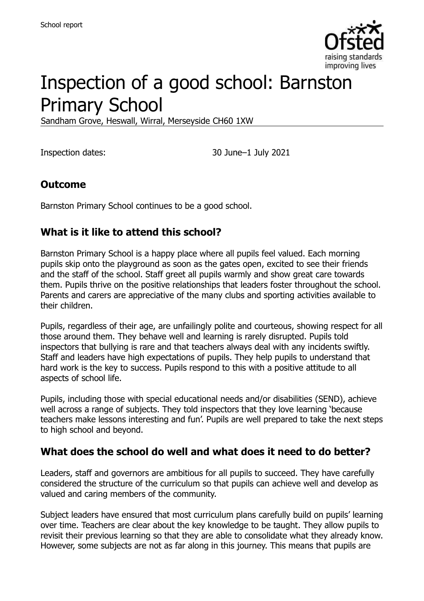

# Inspection of a good school: Barnston Primary School

Sandham Grove, Heswall, Wirral, Merseyside CH60 1XW

Inspection dates: 30 June–1 July 2021

#### **Outcome**

Barnston Primary School continues to be a good school.

#### **What is it like to attend this school?**

Barnston Primary School is a happy place where all pupils feel valued. Each morning pupils skip onto the playground as soon as the gates open, excited to see their friends and the staff of the school. Staff greet all pupils warmly and show great care towards them. Pupils thrive on the positive relationships that leaders foster throughout the school. Parents and carers are appreciative of the many clubs and sporting activities available to their children.

Pupils, regardless of their age, are unfailingly polite and courteous, showing respect for all those around them. They behave well and learning is rarely disrupted. Pupils told inspectors that bullying is rare and that teachers always deal with any incidents swiftly. Staff and leaders have high expectations of pupils. They help pupils to understand that hard work is the key to success. Pupils respond to this with a positive attitude to all aspects of school life.

Pupils, including those with special educational needs and/or disabilities (SEND), achieve well across a range of subjects. They told inspectors that they love learning 'because teachers make lessons interesting and fun'. Pupils are well prepared to take the next steps to high school and beyond.

#### **What does the school do well and what does it need to do better?**

Leaders, staff and governors are ambitious for all pupils to succeed. They have carefully considered the structure of the curriculum so that pupils can achieve well and develop as valued and caring members of the community.

Subject leaders have ensured that most curriculum plans carefully build on pupils' learning over time. Teachers are clear about the key knowledge to be taught. They allow pupils to revisit their previous learning so that they are able to consolidate what they already know. However, some subjects are not as far along in this journey. This means that pupils are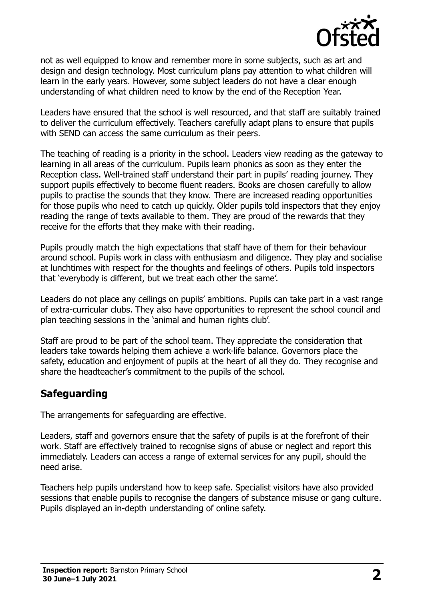

not as well equipped to know and remember more in some subjects, such as art and design and design technology. Most curriculum plans pay attention to what children will learn in the early years. However, some subject leaders do not have a clear enough understanding of what children need to know by the end of the Reception Year.

Leaders have ensured that the school is well resourced, and that staff are suitably trained to deliver the curriculum effectively. Teachers carefully adapt plans to ensure that pupils with SEND can access the same curriculum as their peers.

The teaching of reading is a priority in the school. Leaders view reading as the gateway to learning in all areas of the curriculum. Pupils learn phonics as soon as they enter the Reception class. Well-trained staff understand their part in pupils' reading journey. They support pupils effectively to become fluent readers. Books are chosen carefully to allow pupils to practise the sounds that they know. There are increased reading opportunities for those pupils who need to catch up quickly. Older pupils told inspectors that they enjoy reading the range of texts available to them. They are proud of the rewards that they receive for the efforts that they make with their reading.

Pupils proudly match the high expectations that staff have of them for their behaviour around school. Pupils work in class with enthusiasm and diligence. They play and socialise at lunchtimes with respect for the thoughts and feelings of others. Pupils told inspectors that 'everybody is different, but we treat each other the same'.

Leaders do not place any ceilings on pupils' ambitions. Pupils can take part in a vast range of extra-curricular clubs. They also have opportunities to represent the school council and plan teaching sessions in the 'animal and human rights club'.

Staff are proud to be part of the school team. They appreciate the consideration that leaders take towards helping them achieve a work-life balance. Governors place the safety, education and enjoyment of pupils at the heart of all they do. They recognise and share the headteacher's commitment to the pupils of the school.

# **Safeguarding**

The arrangements for safeguarding are effective.

Leaders, staff and governors ensure that the safety of pupils is at the forefront of their work. Staff are effectively trained to recognise signs of abuse or neglect and report this immediately. Leaders can access a range of external services for any pupil, should the need arise.

Teachers help pupils understand how to keep safe. Specialist visitors have also provided sessions that enable pupils to recognise the dangers of substance misuse or gang culture. Pupils displayed an in-depth understanding of online safety.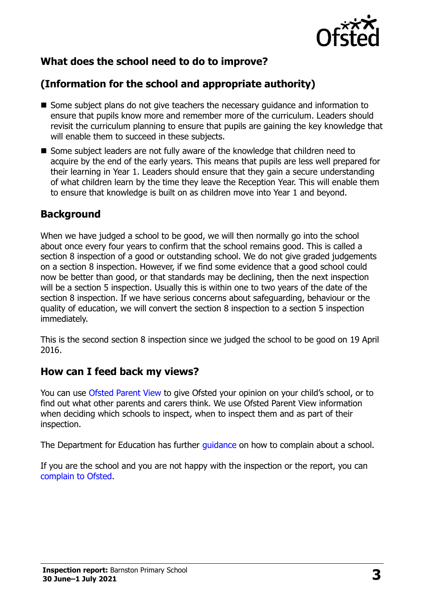

# **What does the school need to do to improve?**

# **(Information for the school and appropriate authority)**

- Some subject plans do not give teachers the necessary quidance and information to ensure that pupils know more and remember more of the curriculum. Leaders should revisit the curriculum planning to ensure that pupils are gaining the key knowledge that will enable them to succeed in these subjects.
- Some subject leaders are not fully aware of the knowledge that children need to acquire by the end of the early years. This means that pupils are less well prepared for their learning in Year 1. Leaders should ensure that they gain a secure understanding of what children learn by the time they leave the Reception Year. This will enable them to ensure that knowledge is built on as children move into Year 1 and beyond.

# **Background**

When we have judged a school to be good, we will then normally go into the school about once every four years to confirm that the school remains good. This is called a section 8 inspection of a good or outstanding school. We do not give graded judgements on a section 8 inspection. However, if we find some evidence that a good school could now be better than good, or that standards may be declining, then the next inspection will be a section 5 inspection. Usually this is within one to two years of the date of the section 8 inspection. If we have serious concerns about safeguarding, behaviour or the quality of education, we will convert the section 8 inspection to a section 5 inspection immediately.

This is the second section 8 inspection since we judged the school to be good on 19 April 2016.

# **How can I feed back my views?**

You can use [Ofsted Parent View](https://parentview.ofsted.gov.uk/) to give Ofsted your opinion on your child's school, or to find out what other parents and carers think. We use Ofsted Parent View information when deciding which schools to inspect, when to inspect them and as part of their inspection.

The Department for Education has further quidance on how to complain about a school.

If you are the school and you are not happy with the inspection or the report, you can [complain to Ofsted.](https://www.gov.uk/complain-ofsted-report)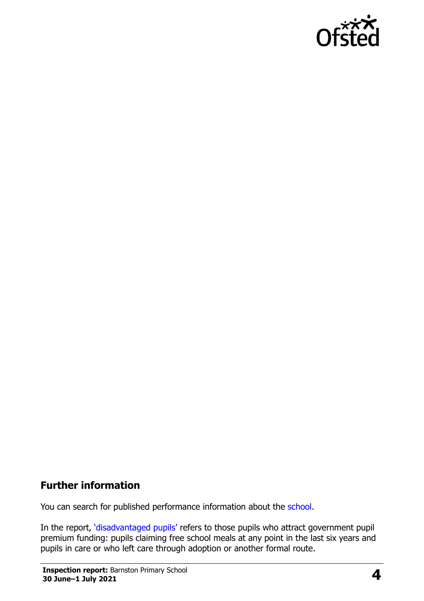

#### **Further information**

You can search for published performance information about the [school.](http://www.compare-school-performance.service.gov.uk/)

In the report, '[disadvantaged pupils](http://www.gov.uk/guidance/pupil-premium-information-for-schools-and-alternative-provision-settings)' refers to those pupils who attract government pupil premium funding: pupils claiming free school meals at any point in the last six years and pupils in care or who left care through adoption or another formal route.

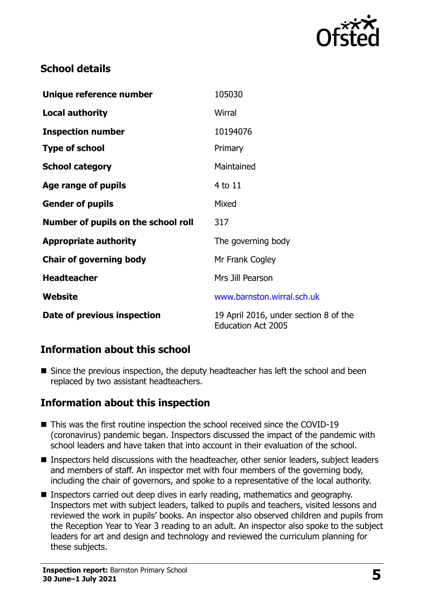

#### **School details**

| Unique reference number             | 105030                                                             |
|-------------------------------------|--------------------------------------------------------------------|
| <b>Local authority</b>              | Wirral                                                             |
| <b>Inspection number</b>            | 10194076                                                           |
| <b>Type of school</b>               | Primary                                                            |
| <b>School category</b>              | Maintained                                                         |
| Age range of pupils                 | 4 to 11                                                            |
| <b>Gender of pupils</b>             | Mixed                                                              |
| Number of pupils on the school roll | 317                                                                |
| <b>Appropriate authority</b>        | The governing body                                                 |
| <b>Chair of governing body</b>      | Mr Frank Cogley                                                    |
| <b>Headteacher</b>                  | Mrs Jill Pearson                                                   |
| Website                             | www.barnston.wirral.sch.uk                                         |
| Date of previous inspection         | 19 April 2016, under section 8 of the<br><b>Education Act 2005</b> |

# **Information about this school**

Since the previous inspection, the deputy headteacher has left the school and been replaced by two assistant headteachers.

#### **Information about this inspection**

- This was the first routine inspection the school received since the COVID-19 (coronavirus) pandemic began. Inspectors discussed the impact of the pandemic with school leaders and have taken that into account in their evaluation of the school.
- Inspectors held discussions with the headteacher, other senior leaders, subject leaders and members of staff. An inspector met with four members of the governing body, including the chair of governors, and spoke to a representative of the local authority.
- **Inspectors carried out deep dives in early reading, mathematics and geography.** Inspectors met with subject leaders, talked to pupils and teachers, visited lessons and reviewed the work in pupils' books. An inspector also observed children and pupils from the Reception Year to Year 3 reading to an adult. An inspector also spoke to the subject leaders for art and design and technology and reviewed the curriculum planning for these subjects.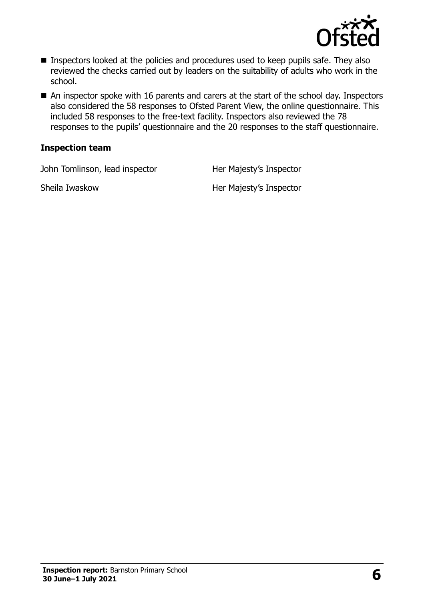

- Inspectors looked at the policies and procedures used to keep pupils safe. They also reviewed the checks carried out by leaders on the suitability of adults who work in the school.
- An inspector spoke with 16 parents and carers at the start of the school day. Inspectors also considered the 58 responses to Ofsted Parent View, the online questionnaire. This included 58 responses to the free-text facility. Inspectors also reviewed the 78 responses to the pupils' questionnaire and the 20 responses to the staff questionnaire.

#### **Inspection team**

John Tomlinson, lead inspector Her Majesty's Inspector

Sheila Iwaskow **Her Majesty's Inspector**